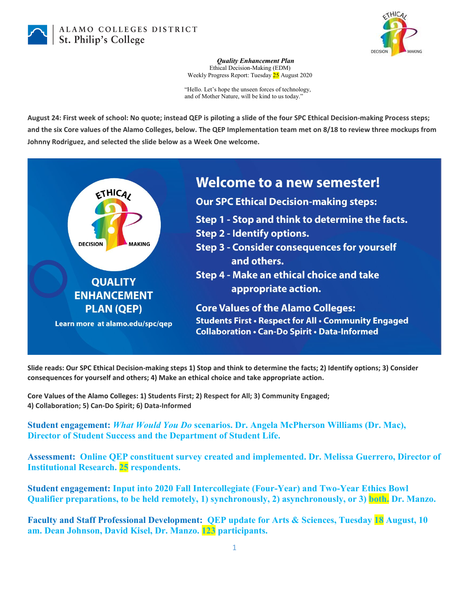

ALAMO COLLEGES DISTRICT St. Philip's College



*Quality Enhancement Plan* Ethical Decision-Making (EDM) Weekly Progress Report: Tuesday 25 August 2020

"Hello. Let's hope the unseen forces of technology, and of Mother Nature, will be kind to us today."

**August 24: First week of school: No quote; instead QEP is piloting a slide of the four SPC Ethical Decision-making Process steps; and the six Core values of the Alamo Colleges, below. The QEP Implementation team met on 8/18 to review three mockups from Johnny Rodriguez, and selected the slide below as a Week One welcome.**



**Slide reads: Our SPC Ethical Decision-making steps 1) Stop and think to determine the facts; 2) Identify options; 3) Consider consequences for yourself and others; 4) Make an ethical choice and take appropriate action.**

**Core Values of the Alamo Colleges: 1) Students First; 2) Respect for All; 3) Community Engaged; 4) Collaboration; 5) Can-Do Spirit; 6) Data-Informed**

**Student engagement:** *What Would You Do* **scenarios. Dr. Angela McPherson Williams (Dr. Mac), Director of Student Success and the Department of Student Life.**

**Assessment: Online QEP constituent survey created and implemented. Dr. Melissa Guerrero, Director of Institutional Research. 25 respondents.**

**Student engagement: Input into 2020 Fall Intercollegiate (Four-Year) and Two-Year Ethics Bowl Qualifier preparations, to be held remotely, 1) synchronously, 2) asynchronously, or 3) both. Dr. Manzo.**

**Faculty and Staff Professional Development: QEP update for Arts & Sciences, Tuesday 18 August, 10 am. Dean Johnson, David Kisel, Dr. Manzo. 123 participants.**